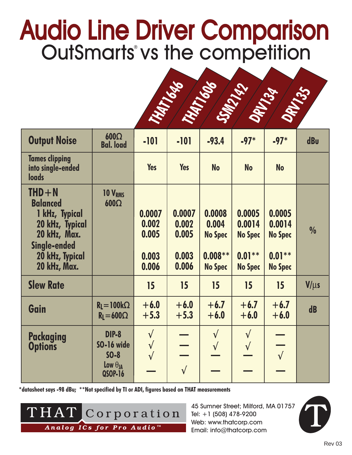## Audio Line Driver Comparison<br>OutSmarts vs the competition



| <b>Output Noise</b>                                                                                                                         | $600\Omega$<br><b>Bal. load</b>                                      | $-101$                                     | $-101$                                     | $-93.4$                                                           | $-97*$                                                            | $-97*$                                                            | dBu           |
|---------------------------------------------------------------------------------------------------------------------------------------------|----------------------------------------------------------------------|--------------------------------------------|--------------------------------------------|-------------------------------------------------------------------|-------------------------------------------------------------------|-------------------------------------------------------------------|---------------|
| <b>Tames clipping</b><br>into single-ended<br><b>loads</b>                                                                                  |                                                                      | <b>Yes</b>                                 | <b>Yes</b>                                 | <b>No</b>                                                         | <b>No</b>                                                         | <b>No</b>                                                         |               |
| $THD + N$<br><b>Balanced</b><br>1 kHz, Typical<br>20 kHz, Typical<br>20 kHz, Max.<br><b>Single-ended</b><br>20 kHz, Typical<br>20 kHz, Max. | 10 V <sub>RMS</sub><br>$600\Omega$                                   | 0.0007<br>0.002<br>0.005<br>0.003<br>0.006 | 0.0007<br>0.002<br>0.005<br>0.003<br>0.006 | 0.0008<br>0.004<br><b>No Spec</b><br>$0.008***$<br><b>No Spec</b> | 0.0005<br>0.0014<br><b>No Spec</b><br>$0.01***$<br><b>No Spec</b> | 0.0005<br>0.0014<br><b>No Spec</b><br>$0.01***$<br><b>No Spec</b> | $\frac{0}{0}$ |
| <b>Slew Rate</b>                                                                                                                            |                                                                      | 15                                         | 15                                         | 15                                                                | 15                                                                | 15                                                                | $V/\mu s$     |
| Gain                                                                                                                                        | $R_l = 100k\Omega$<br>$R_l = 600\Omega$                              | $+6.0$<br>$+5.3$                           | $+6.0$<br>$+5.3$                           | $+6.7$<br>$+6.0$                                                  | $+6.7$<br>$+6.0$                                                  | $+6.7$<br>$+6.0$                                                  | d <b>B</b>    |
| <b>Packaging</b><br><b>Options</b>                                                                                                          | <b>DIP-8</b><br>SO-16 wide<br>$SO-8$<br>Low $\theta_{JA}$<br>QSOP-16 | $\sqrt{ }$<br>$\sqrt{}$<br>$\sqrt{}$       | $\sqrt{}$                                  | $\sqrt{ }$<br>$\sqrt{ }$                                          | $\sqrt{}$<br>$\sqrt{ }$                                           | $\sqrt{ }$                                                        |               |

**\*datasheet says -98 dBu; \*\*Not specified by TI or ADI, figures based on THAT measurements**



45 Sumner Street; Milford, MA 01757 Tel: +1 (508) 478-9200 Web: www.thatcorp.com Email: info@thatcorp.com